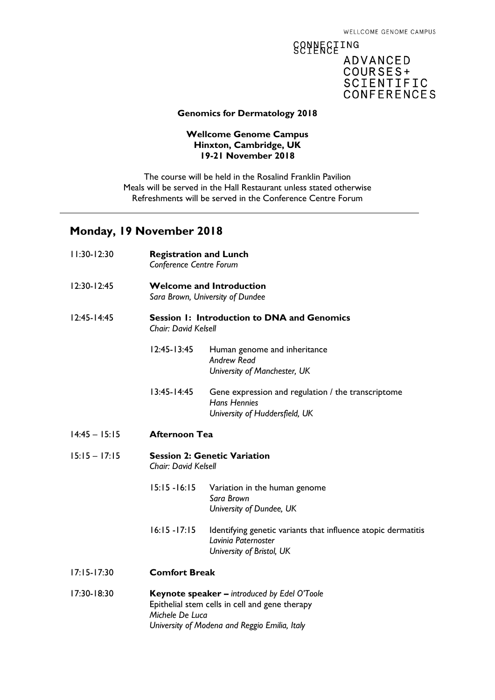## **SSTEESEING ADVANCED** COURSES+ SCIENTIFIC<br>CONFERENCES

### **Genomics for Dermatology 2018**

### **Wellcome Genome Campus Hinxton, Cambridge, UK 19-21 November 2018**

The course will be held in the Rosalind Franklin Pavilion Meals will be served in the Hall Restaurant unless stated otherwise Refreshments will be served in the Conference Centre Forum

### **Monday, 19 November 2018**

| $11:30-12:30$   |                                                                                                                          | <b>Registration and Lunch</b><br>Conference Centre Forum                                                          |  |  |
|-----------------|--------------------------------------------------------------------------------------------------------------------------|-------------------------------------------------------------------------------------------------------------------|--|--|
| $12:30 - 12:45$ |                                                                                                                          | <b>Welcome and Introduction</b><br>Sara Brown, University of Dundee                                               |  |  |
| $12:45 - 14:45$ | Session 1: Introduction to DNA and Genomics<br><b>Chair: David Kelsell</b>                                               |                                                                                                                   |  |  |
|                 | $12:45 - 13:45$                                                                                                          | Human genome and inheritance<br><b>Andrew Read</b><br>University of Manchester, UK                                |  |  |
|                 | $13:45 - 14:45$                                                                                                          | Gene expression and regulation / the transcriptome<br><b>Hans Hennies</b><br>University of Huddersfield, UK       |  |  |
| $14:45 - 15:15$ | <b>Afternoon Tea</b>                                                                                                     |                                                                                                                   |  |  |
| $15:15 - 17:15$ | <b>Session 2: Genetic Variation</b><br><b>Chair: David Kelsell</b>                                                       |                                                                                                                   |  |  |
|                 | $15:15 - 16:15$                                                                                                          | Variation in the human genome<br>Sara Brown<br>University of Dundee, UK                                           |  |  |
|                 | $16:15 - 17:15$                                                                                                          | Identifying genetic variants that influence atopic dermatitis<br>Lavinia Paternoster<br>University of Bristol, UK |  |  |
| $17:15 - 17:30$ | <b>Comfort Break</b>                                                                                                     |                                                                                                                   |  |  |
| 17:30-18:30     | <b>Keynote speaker – introduced by Edel O'Toole</b><br>Epithelial stem cells in cell and gene therapy<br>Michele De Luca |                                                                                                                   |  |  |

*University of Modena and Reggio Emilia, Italy*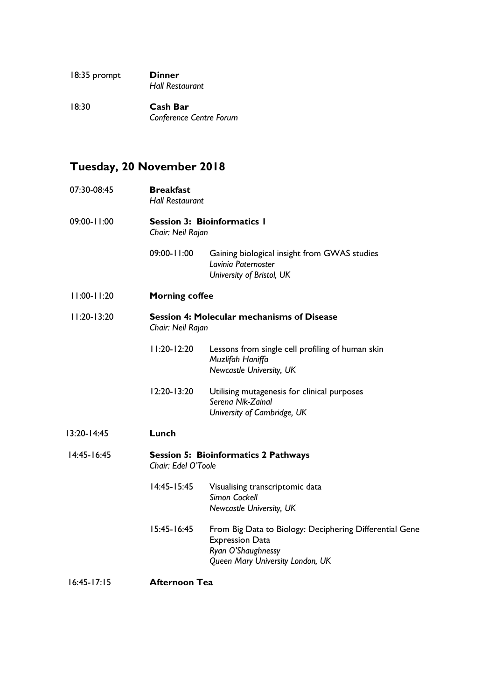| 18:35 prompt | <b>Dinner</b><br><b>Hall Restaurant</b> |
|--------------|-----------------------------------------|
| 18:30        | Cash Bar                                |

*Conference Centre Forum*

## **Tuesday, 20 November 2018**

| 07:30-08:45     | <b>Breakfast</b><br><b>Hall Restaurant</b>                             |                                                                                                                                             |  |
|-----------------|------------------------------------------------------------------------|---------------------------------------------------------------------------------------------------------------------------------------------|--|
| 09:00-11:00     | <b>Session 3: Bioinformatics I</b><br>Chair: Neil Rajan                |                                                                                                                                             |  |
|                 | 09:00-11:00                                                            | Gaining biological insight from GWAS studies<br>Lavinia Paternoster<br>University of Bristol, UK                                            |  |
| $11:00 - 11:20$ | <b>Morning coffee</b>                                                  |                                                                                                                                             |  |
| $11:20 - 13:20$ | <b>Session 4: Molecular mechanisms of Disease</b><br>Chair: Neil Rajan |                                                                                                                                             |  |
|                 | $11:20 - 12:20$                                                        | Lessons from single cell profiling of human skin<br>Muzlifah Haniffa<br>Newcastle University, UK                                            |  |
|                 | 12:20-13:20                                                            | Utilising mutagenesis for clinical purposes<br>Serena Nik-Zainal<br>University of Cambridge, UK                                             |  |
| 13:20-14:45     | Lunch                                                                  |                                                                                                                                             |  |
| $14:45 - 16:45$ | <b>Session 5: Bioinformatics 2 Pathways</b><br>Chair: Edel O'Toole     |                                                                                                                                             |  |
|                 | $14:45 - 15:45$                                                        | Visualising transcriptomic data<br>Simon Cockell<br>Newcastle University, UK                                                                |  |
|                 | $15:45 - 16:45$                                                        | From Big Data to Biology: Deciphering Differential Gene<br><b>Expression Data</b><br>Ryan O'Shaughnessy<br>Queen Mary University London, UK |  |
| $16:45 - 17:15$ | <b>Afternoon Tea</b>                                                   |                                                                                                                                             |  |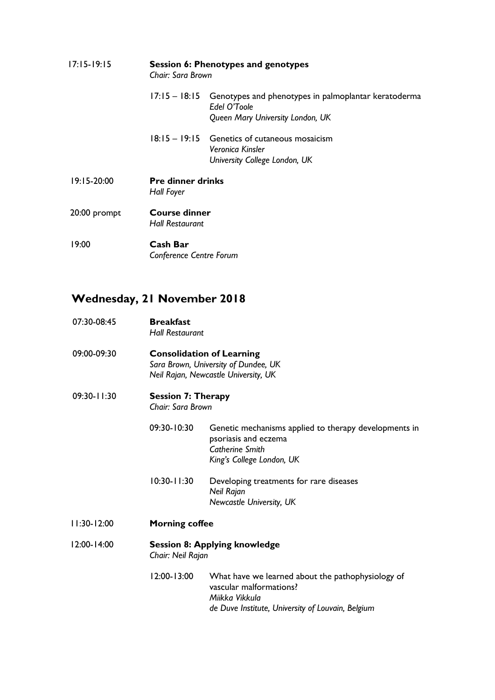| $17:15 - 19:15$ | <b>Session 6: Phenotypes and genotypes</b><br>Chair: Sara Brown |                                                                                                          |  |
|-----------------|-----------------------------------------------------------------|----------------------------------------------------------------------------------------------------------|--|
|                 | $17:15 - 18:15$                                                 | Genotypes and phenotypes in palmoplantar keratoderma<br>Edel O'Toole<br>Queen Mary University London, UK |  |
|                 |                                                                 | 18:15 – 19:15 Genetics of cutaneous mosaicism<br>Veronica Kinsler<br>University College London, UK       |  |
| 19:15-20:00     | <b>Pre dinner drinks</b><br>Hall Foyer                          |                                                                                                          |  |
| 20:00 prompt    | Course dinner<br><b>Hall Restaurant</b>                         |                                                                                                          |  |
| 19:00           | Cash Bar<br>Conference Centre Forum                             |                                                                                                          |  |

# **Wednesday, 21 November 2018**

| 07:30-08:45     | <b>Breakfast</b><br><b>Hall Restaurant</b>                                                                       |                                                                                                                                                     |  |
|-----------------|------------------------------------------------------------------------------------------------------------------|-----------------------------------------------------------------------------------------------------------------------------------------------------|--|
| 09:00-09:30     | <b>Consolidation of Learning</b><br>Sara Brown, University of Dundee, UK<br>Neil Rajan, Newcastle University, UK |                                                                                                                                                     |  |
| $09:30 - 11:30$ | <b>Session 7: Therapy</b><br>Chair: Sara Brown                                                                   |                                                                                                                                                     |  |
|                 | 09:30-10:30                                                                                                      | Genetic mechanisms applied to therapy developments in<br>psoriasis and eczema<br><b>Catherine Smith</b><br>King's College London, UK                |  |
|                 | $10:30 - 11:30$                                                                                                  | Developing treatments for rare diseases<br>Neil Rajan<br>Newcastle University, UK                                                                   |  |
| $11:30-12:00$   | <b>Morning coffee</b>                                                                                            |                                                                                                                                                     |  |
| $12:00 - 14:00$ | <b>Session 8: Applying knowledge</b><br>Chair: Neil Rajan                                                        |                                                                                                                                                     |  |
|                 | $12:00 - 13:00$                                                                                                  | What have we learned about the pathophysiology of<br>vascular malformations?<br>Miikka Vikkula<br>de Duve Institute, University of Louvain, Belgium |  |